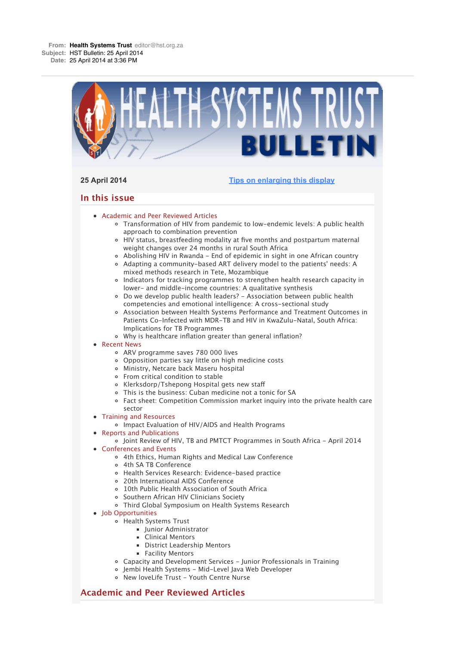

# **Academic and Peer Reviewed Articles**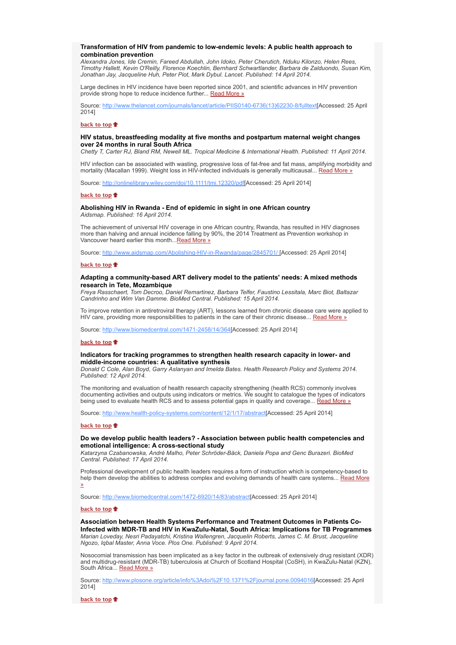# **Transformation of HIV from pandemic to low-endemic levels: A public health approach to combination prevention**

*Alexandra Jones, Ide Cremin, Fareed Abdullah, John Idoko, Peter Cherutich, Nduku Kilonzo, Helen Rees, Timothy Hallett, Kevin O'Reilly, Florence Koechlin, Bernhard Schwartlander, Barbara de Zalduondo, Susan Kim, Jonathan Jay, Jacqueline Huh, Peter Piot, Mark Dybul. Lancet. Published: 14 April 2014.*

Large declines in HIV incidence have been reported since 2001, and scientific advances in HIV prevention provide strong hope to reduce incidence further... Read More »

Source: http://www.thelancet.com/journals/lancet/article/PIIS0140-6736(13)62230-8/fulltext[Accessed: 25 April 2014]

#### **back to top**

# **HIV status, breastfeeding modality at five months and postpartum maternal weight changes over 24 months in rural South Africa**

*Chetty T, Carter RJ, Bland RM, Newell ML. Tropical Medicine & International Health. Published: 11 April 2014.*

HIV infection can be associated with wasting, progressive loss of fat-free and fat mass, amplifying morbidity and mortality (Macallan 1999). Weight loss in HIV-infected individuals is generally multicausal... Read More »

Source: http://onlinelibrary.wiley.com/doi/10.1111/tmi.12320/pdf[Accessed: 25 April 2014]

#### **back to top**

#### **Abolishing HIV in Rwanda - End of epidemic in sight in one African country** *Aidsmap. Published: 16 April 2014.*

The achievement of universal HIV coverage in one African country, Rwanda, has resulted in HIV diagnoses more than halving and annual incidence falling by 90%, the 2014 Treatment as Prevention workshop in Vancouver heard earlier this month...Read More »

Source: http://www.aidsmap.com/Abolishing-HIV-in-Rwanda/page/2845701/ [Accessed: 25 April 2014]

#### **back to top**

### **Adapting a community-based ART delivery model to the patients' needs: A mixed methods research in Tete, Mozambique**

*Freya Rasschaert, Tom Decroo, Daniel Remartinez, Barbara Telfer, Faustino Lessitala, Marc Biot, Baltazar Candrinho and Wim Van Damme. BioMed Central. Published: 15 April 2014.*

To improve retention in antiretroviral therapy (ART), lessons learned from chronic disease care were applied to HIV care, providing more responsibilities to patients in the care of their chronic disease... Read More »

Source: http://www.biomedcentral.com/1471-2458/14/364[Accessed: 25 April 2014]

# **back to top**

# **Indicators for tracking programmes to strengthen health research capacity in lower- and middle-income countries: A qualitative synthesis**

*Donald C Cole, Alan Boyd, Garry Aslanyan and Imelda Bates. Health Research Policy and Systems 2014. Published: 12 April 2014.*

The monitoring and evaluation of health research capacity strengthening (health RCS) commonly involves documenting activities and outputs using indicators or metrics. We sought to catalogue the types of indicators being used to evaluate health RCS and to assess potential gaps in quality and coverage... Read More »

Source: http://www.health-policy-systems.com/content/12/1/17/abstract[Accessed: 25 April 2014]

#### **back to top**

# **Do we develop public health leaders? - Association between public health competencies and emotional intelligence: A cross-sectional study**

*Katarzyna Czabanowska, André Malho, Peter Schröder-Bäck, Daniela Popa and Genc Burazeri. BioMed Central. Published: 17 April 2014.*

Professional development of public health leaders requires a form of instruction which is competency-based to help them develop the abilities to address complex and evolving demands of health care systems... Read More »

Source: http://www.biomedcentral.com/1472-6920/14/83/abstract[Accessed: 25 April 2014]

#### **back to top**

**Association between Health Systems Performance and Treatment Outcomes in Patients Co-Infected with MDR-TB and HIV in KwaZulu-Natal, South Africa: Implications for TB Programmes** *Marian Loveday, Nesri Padayatchi, Kristina Wallengren, Jacquelin Roberts, James C. M. Brust, Jacqueline Ngozo, Iqbal Master, Anna Voce. Plos One. Published: 9 April 2014.*

Nosocomial transmission has been implicated as a key factor in the outbreak of extensively drug resistant (XDR) and multidrug-resistant (MDR-TB) tuberculosis at Church of Scotland Hospital (CoSH), in KwaZulu-Natal (KZN), South Africa<sup>C</sup> Read More »

Source: http://www.plosone.org/article/info%3Adoi%2F10.1371%2Fjournal.pone.0094016[Accessed: 25 April 2014]

**back to top**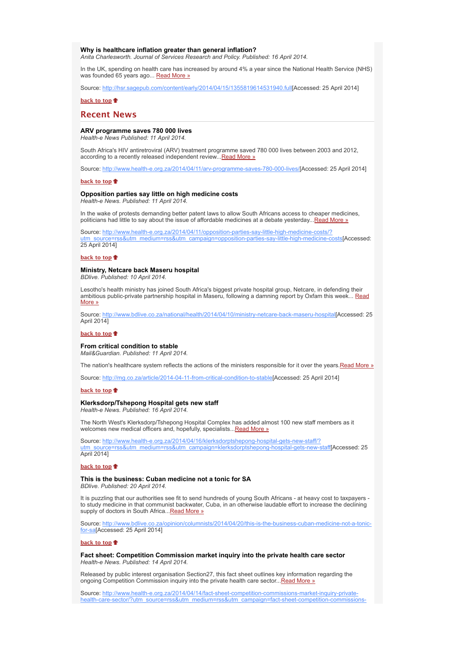# **Why is healthcare inflation greater than general inflation?**

*Anita Charlesworth. Journal of Services Research and Policy. Published: 16 April 2014.*

In the UK, spending on health care has increased by around 4% a year since the National Health Service (NHS) was founded 65 years ago... Read More »

Source: http://hsr.sagepub.com/content/early/2014/04/15/1355819614531940.full[Accessed: 25 April 2014]

## **back to top**

# **Recent News**

# **ARV programme saves 780 000 lives**

*Health-e News Published: 11 April 2014.*

South Africa's HIV antiretroviral (ARV) treatment programme saved 780 000 lives between 2003 and 2012, according to a recently released independent review...Read More »

Source: http://www.health-e.org.za/2014/04/11/arv-programme-saves-780-000-lives/[Accessed: 25 April 2014]

# **back to top**

### **Opposition parties say little on high medicine costs** *Health-e News. Published: 11 April 2014.*

In the wake of protests demanding better patent laws to allow South Africans access to cheaper medicines, politicians had little to say about the issue of affordable medicines at a debate yesterday...Read More »

Source: http://www.health-e.org.za/2014/04/11/opposition-parties-say-little-high-medicine-costs/? ss&utm\_medium=rss&utm\_campaign=opposition-parties-say-little-high-medicine-costs[Accessed: 25 April 2014]

#### **back to top**

# **Ministry, Netcare back Maseru hospital**

*BDlive. Published: 10 April 2014.*

Lesotho's health ministry has joined South Africa's biggest private hospital group, Netcare, in defending their ambitious public-private partnership hospital in Maseru, following a damning report by Oxfam this week... Read More »

Source: http://www.bdlive.co.za/national/health/2014/04/10/ministry-netcare-back-maseru-hospital[Accessed: 25 April 2014]

# **back to top**

## **From critical condition to stable**

*Mail&Guardian. Published: 11 April 2014.*

The nation's healthcare system reflects the actions of the ministers responsible for it over the years.Read More »

Source: http://mg.co.za/article/2014-04-11-from-critical-condition-to-stable[Accessed: 25 April 2014]

#### **back to top**

### **Klerksdorp/Tshepong Hospital gets new staff**

*Health-e News. Published: 16 April 2014.*

The North West's Klerksdorp/Tshepong Hospital Complex has added almost 100 new staff members as it welcomes new medical officers and, hopefully, specialists... Read More »

Source: http://www.health-e.org.za/2014/04/16/klerksdorptshepong-hospital-gets-new-staff/? utm\_source=rss&utm\_medium=rss&utm\_campaign=klerksdorptshepong-hospital-gets-new-staff[Accessed: 25 April 2014]

#### **back to top**

#### **This is the business: Cuban medicine not a tonic for SA**

*BDlive. Published: 20 April 2014.*

It is puzzling that our authorities see fit to send hundreds of young South Africans - at heavy cost to taxpayers to study medicine in that communist backwater, Cuba, in an otherwise laudable effort to increase the declining supply of doctors in South Africa... Read More »

Source: http://www.bdlive.co.za/opinion/columnists/2014/04/20/this-is-the-business-cuban-medicine-not-a-tonicfor-sa[Accessed: 25 April 2014]

#### **back to top**

**Fact sheet: Competition Commission market inquiry into the private health care sector** *Health-e News. Published: 14 April 2014.*

Released by public interest organisation Section27, this fact sheet outlines key information regarding the ongoing Competition Commission inquiry into the private health care sector... Read More »

Source: http://www.health-e.org.za/2014/04/14/fact-sheet-competition-commissions-market-inquiry-privatehealth-care-sector/?utm\_source=rss&utm\_medium=rss&utm\_campaign=fact-sheet-competition-commissions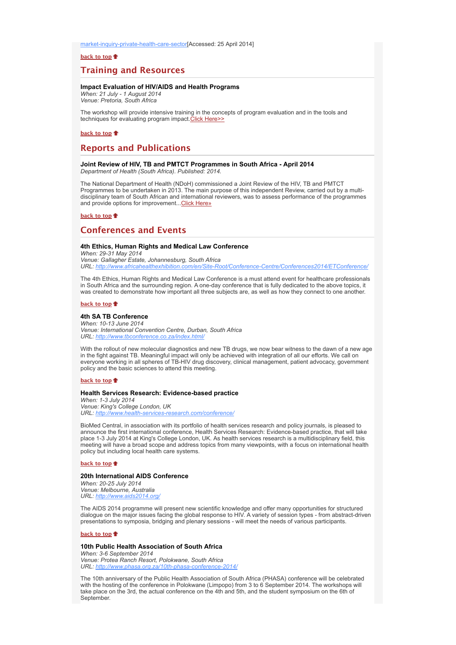market-inquiry-private-health-care-sector[Accessed: 25 April 2014]

# **back to top**

# **Training and Resources**

# **Impact Evaluation of HIV/AIDS and Health Programs**

*When: 21 July - 1 August 2014 Venue: Pretoria, South Africa*

The workshop will provide intensive training in the concepts of program evaluation and in the tools and techniques for evaluating program impact.Click Here>>

# **back to top**

# **Reports and Publications**

## **Joint Review of HIV, TB and PMTCT Programmes in South Africa - April 2014** *Department of Health (South Africa). Published: 2014.*

The National Department of Health (NDoH) commissioned a Joint Review of the HIV, TB and PMTCT Programmes to be undertaken in 2013. The main purpose of this independent Review, carried out by a multidisciplinary team of South African and international reviewers, was to assess performance of the programmes and provide options for improvement...Click Here»

# **back to top**

# **Conferences and Events**

# **4th Ethics, Human Rights and Medical Law Conference**

*When: 29-31 May 2014 Venue: Gallagher Estate, Johannesburg, South Africa URL: http://www.africahealthexhibition.com/en/Site-Root/Conference-Centre/Conferences2014/ETConference/*

The 4th Ethics, Human Rights and Medical Law Conference is a must attend event for healthcare professionals in South Africa and the surrounding region. A one-day conference that is fully dedicated to the above topics, it was created to demonstrate how important all three subjects are, as well as how they connect to one another.

#### **back to top**

# **4th SA TB Conference**

*When: 10-13 June 2014 Venue: International Convention Centre, Durban, South Africa URL: http://www.tbconference.co.za/index.html/*

With the rollout of new molecular diagnostics and new TB drugs, we now bear witness to the dawn of a new age in the fight against TB. Meaningful impact will only be achieved with integration of all our efforts. We call on everyone working in all spheres of TB-HIV drug discovery, clinical management, patient advocacy, government policy and the basic sciences to attend this meeting.

# **back to top**

#### **Health Services Research: Evidence-based practice**

*When: 1-3 July 2014 Venue: King's College London, UK URL: http://www.health-services-research.com/conference/*

BioMed Central, in association with its portfolio of health services research and policy journals, is pleased to announce the first international conference, Health Services Research: Evidence-based practice, that will take place 1-3 July 2014 at King's College London, UK. As health services research is a multidisciplinary field, this meeting will have a broad scope and address topics from many viewpoints, with a focus on international health policy but including local health care systems.

## **back to top**

## **20th International AIDS Conference**

*When: 20-25 July 2014 Venue: Melbourne, Australia URL: http://www.aids2014.org/*

The AIDS 2014 programme will present new scientific knowledge and offer many opportunities for structured dialogue on the major issues facing the global response to HIV. A variety of session types - from abstract-driven presentations to symposia, bridging and plenary sessions - will meet the needs of various participants.

#### **back to top**

#### **10th Public Health Association of South Africa**

*When: 3-6 September 2014 Venue: Protea Ranch Resort, Polokwane, South Africa URL: http://w* 

The 10th anniversary of the Public Health Association of South Africa (PHASA) conference will be celebrated with the hosting of the conference in Polokwane (Limpopo) from 3 to 6 September 2014. The workshops will take place on the 3rd, the actual conference on the 4th and 5th, and the student symposium on the 6th of September.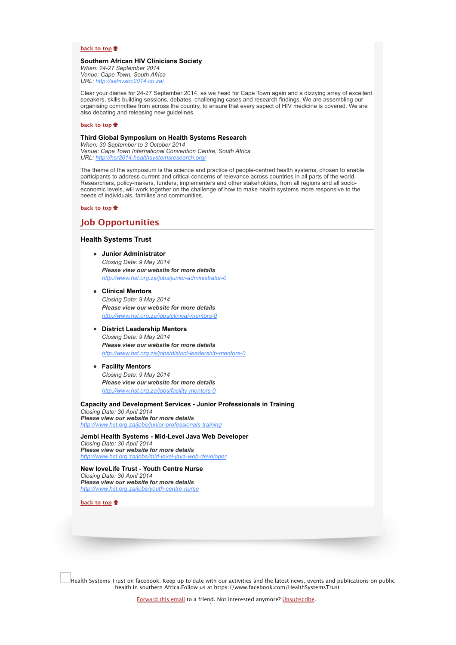### **back to top**

# **Southern African HIV Clinicians Society**

*When: 24-27 September 2014 Venue: Cape Town, South Africa URL: http://sahivsoc2014.co.za/*

Clear your diaries for 24-27 September 2014, as we head for Cape Town again and a dizzying array of excellent speakers, skills building sessions, debates, challenging cases and research findings. We are assembling our organising committee from across the country, to ensure that every aspect of HIV medicine is covered. We are also debating and releasing new guidelines.

## **back to top**

# **Third Global Symposium on Health Systems Research**

*When: 30 September to 3 October 2014 Venue: Cape Town International Convention Centre, South Africa URL: http://hsr2014.healthsystemsresearch.org/*

The theme of the symposium is the science and practice of people-centred health systems, chosen to enable participants to address current and critical concerns of relevance across countries in all parts of the world. Researchers, policy-makers, funders, implementers and other stakeholders, from all regions and all socioeconomic levels, will work together on the challenge of how to make health systems more responsive to the needs of individuals, families and communities.

**back to top**

# **Job Opportunities**

# **Health Systems Trust**

- **Junior Administrator** *Closing Date: 9 May 2014 Please view our website for more details http://www.hst.org.za/jobs/junior-administrator-0*
- **Clinical Mentors** *Closing Date: 9 May 2014 Please view our website for more details http://www.hst.org.za/jobs/clinical-mentors-0*

# **District Leadership Mentors**

*Closing Date: 9 May 2014 Please view our website for more details http://www.hst.org.za/jobs/district-leadership-mentors-0*

# **Facility Mentors**

*Closing Date: 9 May 2014 Please view our website for more details http://www.hst.org.za/jobs/facility-mentors-0*

### **Capacity and Development Services - Junior Professionals in Training**

*Closing Date: 30 April 2014 Please view our website for more details http://www.hst.org.za/jobs/junior-pr* 

**Jembi Health Systems - Mid-Level Java Web Developer** *Closing Date: 30 April 2014 Please view our website for more details http://www.hst.org.za/jobs/mid-level-java-web-developer*

**New loveLife Trust - Youth Centre Nurse** *Closing Date: 30 April 2014 Please view our website for more details http://www.hst.org.za/jobs/youth-centre-nurse*

**back to top**

Health Systems Trust on facebook. Keep up to date with our activities and the latest news, events and publications on public health in southern Africa.Follow us at https://www.facebook.com/HealthSystemsTrust